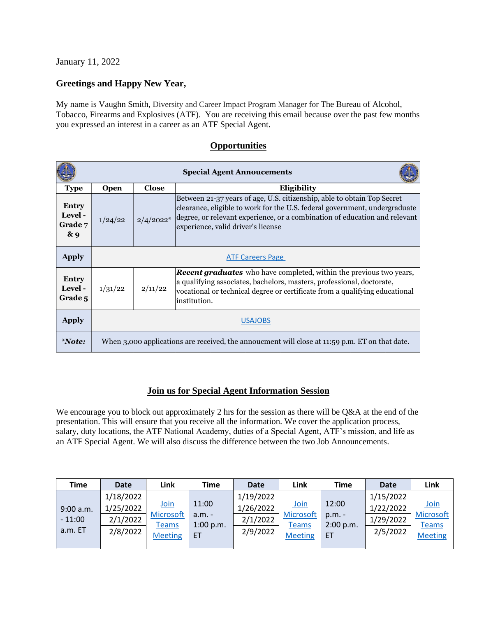January 11, 2022

# **Greetings and Happy New Year,**

My name is Vaughn Smith, Diversity and Career Impact Program Manager for The Bureau of Alcohol, Tobacco, Firearms and Explosives (ATF). You are receiving this email because over the past few months you expressed an interest in a career as an ATF Special Agent.

|                                       |                                                                                                |             | <b>Special Agent Annoucements</b>                                                                                                                                                                                                                                         |  |  |  |
|---------------------------------------|------------------------------------------------------------------------------------------------|-------------|---------------------------------------------------------------------------------------------------------------------------------------------------------------------------------------------------------------------------------------------------------------------------|--|--|--|
| <b>Type</b>                           | <b>Close</b><br>Eligibility<br><b>Open</b>                                                     |             |                                                                                                                                                                                                                                                                           |  |  |  |
| Entry<br>Level -<br>Grade 7<br>$\&$ 9 | 1/24/22                                                                                        | $2/4/2022*$ | Between 21-37 years of age, U.S. citizenship, able to obtain Top Secret<br>clearance, eligible to work for the U.S. federal government, undergraduate<br>degree, or relevant experience, or a combination of education and relevant<br>experience, valid driver's license |  |  |  |
| <b>Apply</b>                          | <b>ATF Careers Page</b>                                                                        |             |                                                                                                                                                                                                                                                                           |  |  |  |
| Entry<br>Level -<br>Grade 5           | 1/31/22                                                                                        | 2/11/22     | <b>Recent graduates</b> who have completed, within the previous two years,<br>a qualifying associates, bachelors, masters, professional, doctorate,<br>vocational or technical degree or certificate from a qualifying educational<br>institution.                        |  |  |  |
| <b>Apply</b>                          | <b>USAJOBS</b>                                                                                 |             |                                                                                                                                                                                                                                                                           |  |  |  |
| <i><b>*Note:</b></i>                  | When 3,000 applications are received, the annoucment will close at 11:59 p.m. ET on that date. |             |                                                                                                                                                                                                                                                                           |  |  |  |

## **Opportunities**

## **Join us for Special Agent Information Session**

We encourage you to block out approximately 2 hrs for the session as there will be Q&A at the end of the presentation. This will ensure that you receive all the information. We cover the application process, salary, duty locations, the ATF National Academy, duties of a Special Agent, ATF's mission, and life as an ATF Special Agent. We will also discuss the difference between the two Job Announcements.

| <b>Time</b> | <b>Date</b> | Link              | Time                  | <b>Date</b> | Link                     | Time                  | <b>Date</b> | Link                     |
|-------------|-------------|-------------------|-----------------------|-------------|--------------------------|-----------------------|-------------|--------------------------|
|             | 1/18/2022   |                   |                       | 1/19/2022   |                          |                       | 1/15/2022   |                          |
| 9:00 a.m.   | 1/25/2022   | Join<br>Microsoft | 11:00                 | 1/26/2022   | <u>Join</u><br>Microsoft | 12:00                 | 1/22/2022   | <u>Join</u><br>Microsoft |
| $-11:00$    | 2/1/2022    | <b>Teams</b>      | $a.m. -$<br>1:00 p.m. | 2/1/2022    | <b>Teams</b>             | $p.m. -$<br>2:00 p.m. | 1/29/2022   | <b>Teams</b>             |
| a.m. ET     | 2/8/2022    | <b>Meeting</b>    | ET                    | 2/9/2022    | <b>Meeting</b>           | ET                    | 2/5/2022    | <b>Meeting</b>           |
|             |             |                   |                       |             |                          |                       |             |                          |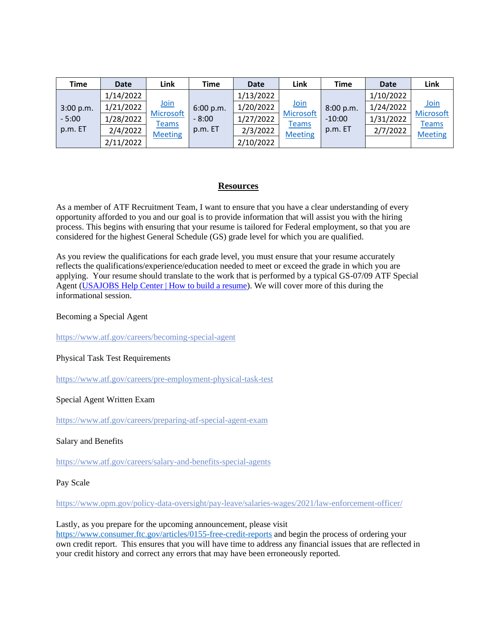| <b>Time</b> | <b>Date</b> | Link               | Time       | <b>Date</b> | Link               | <b>Time</b> | <b>Date</b> | Link                      |
|-------------|-------------|--------------------|------------|-------------|--------------------|-------------|-------------|---------------------------|
|             | 1/14/2022   |                    |            | 1/13/2022   |                    |             | 1/10/2022   |                           |
| 3:00 p.m.   | 1/21/2022   | <b>Join</b>        | 6:00 p.m.  | 1/20/2022   | Join               | 8:00 p.m.   | 1/24/2022   | <u>Join</u>               |
| $-5:00$     | 1/28/2022   | Microsoft<br>Teams | $-8:00$    | 1/27/2022   | Microsoft<br>Teams | $-10:00$    | 1/31/2022   | Microsoft<br><b>Teams</b> |
| p.m. ET     | 2/4/2022    | <b>Meeting</b>     | $p.m. E$ T | 2/3/2022    | <b>Meeting</b>     | p.m. ET     | 2/7/2022    | <b>Meeting</b>            |
|             | 2/11/2022   |                    |            | 2/10/2022   |                    |             |             |                           |

### **Resources**

As a member of ATF Recruitment Team, I want to ensure that you have a clear understanding of every opportunity afforded to you and our goal is to provide information that will assist you with the hiring process. This begins with ensuring that your resume is tailored for Federal employment, so that you are considered for the highest General Schedule (GS) grade level for which you are qualified.

As you review the qualifications for each grade level, you must ensure that your resume accurately reflects the qualifications/experience/education needed to meet or exceed the grade in which you are applying. Your resume should translate to the work that is performed by a typical GS-07/09 ATF Special Agent [\(USAJOBS Help Center | How to build a resume\)](https://www.usajobs.gov/help/how-to/account/documents/resume/build/). We will cover more of this during the informational session.

Becoming a Special Agent

<https://www.atf.gov/careers/becoming-special-agent>

Physical Task Test Requirements

<https://www.atf.gov/careers/pre-employment-physical-task-test>

Special Agent Written Exam

<https://www.atf.gov/careers/preparing-atf-special-agent-exam>

#### Salary and Benefits

<https://www.atf.gov/careers/salary-and-benefits-special-agents>

Pay Scale

<https://www.opm.gov/policy-data-oversight/pay-leave/salaries-wages/2021/law-enforcement-officer/>

Lastly, as you prepare for the upcoming announcement, please visit

[https://www.consumer.ftc.gov/articles/0155-free-credit-reports](https://urldefense.proofpoint.com/v2/url?u=https-3A__www.consumer.ftc.gov_articles_0155-2Dfree-2Dcredit-2Dreports&d=DwMFAg&c=MNHwOqQ8N1u91SoMLfIblwuGXKgp50OPUXjl8uRAbak&r=oJ9-M9sJ_FzTONOKosc2pFmBvjvZnlAMpeqASF8dDxw&m=d6LyVyTwbLaIO4X9MIMIHB64hzjBdtTXaP2YbfFPYqM&s=DmxfENgsP9W9e8BIhNsKLFq2KpdMlMa1QjY-7vOP5LI&e=) and begin the process of ordering your own credit report. This ensures that you will have time to address any financial issues that are reflected in your credit history and correct any errors that may have been erroneously reported.